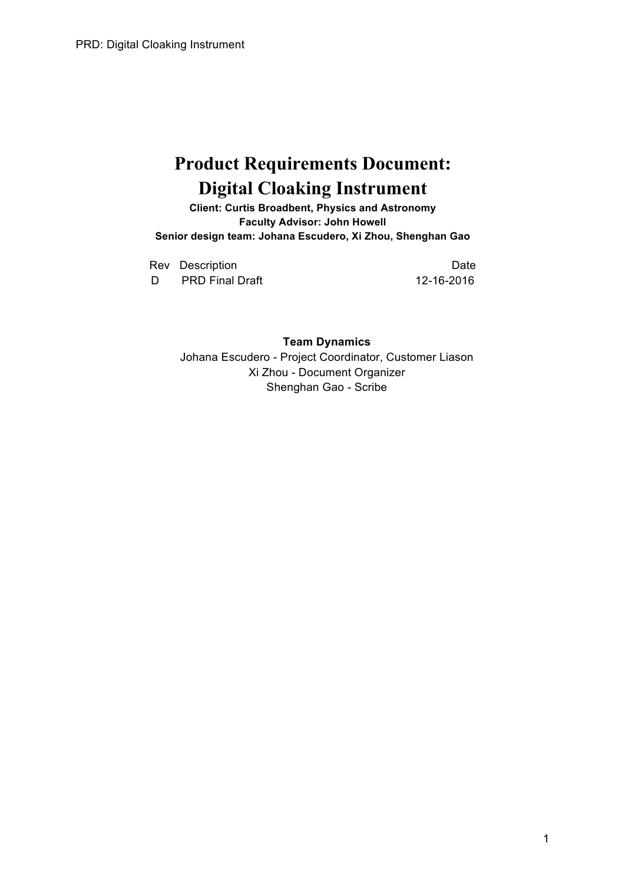# **Product Requirements Document: Digital Cloaking Instrument**

**Client: Curtis Broadbent, Physics and Astronomy Faculty Advisor: John Howell Senior design team: Johana Escudero, Xi Zhou, Shenghan Gao**

Rev Description **Date** D PRD Final Draft 12-16-2016

**Team Dynamics** Johana Escudero - Project Coordinator, Customer Liason Xi Zhou - Document Organizer Shenghan Gao - Scribe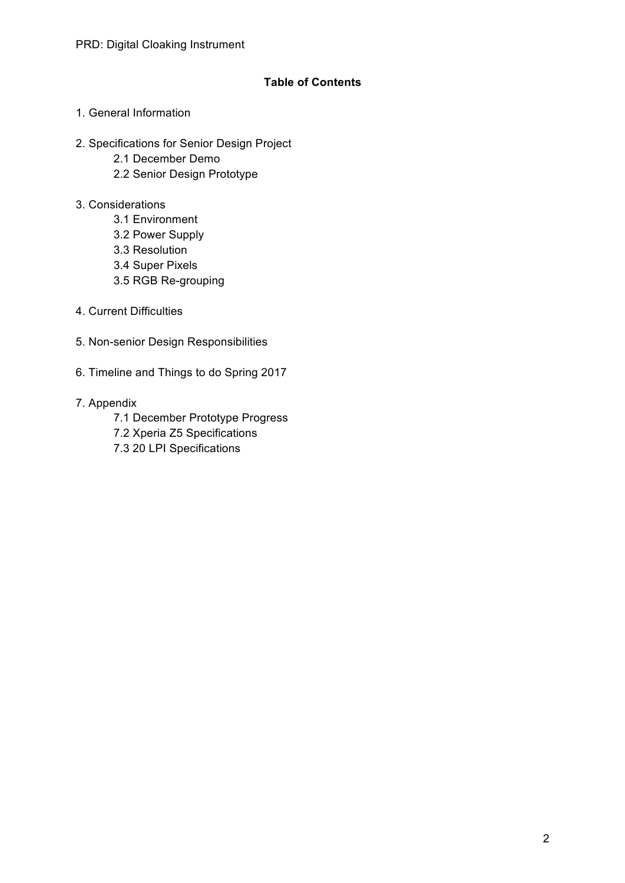## **Table of Contents**

- 1. General Information
- 2. Specifications for Senior Design Project
	- 2.1 December Demo
	- 2.2 Senior Design Prototype
- 3. Considerations
	- 3.1 Environment
	- 3.2 Power Supply
	- 3.3 Resolution
	- 3.4 Super Pixels
	- 3.5 RGB Re-grouping
- 4. Current Difficulties
- 5. Non-senior Design Responsibilities
- 6. Timeline and Things to do Spring 2017
- 7. Appendix
	- 7.1 December Prototype Progress
	- 7.2 Xperia Z5 Specifications
	- 7.3 20 LPI Specifications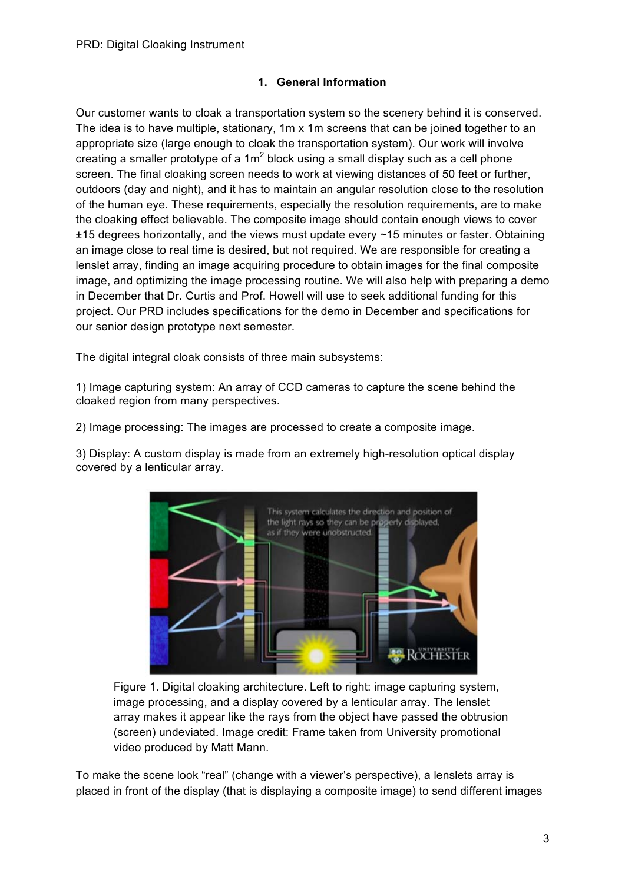## **1. General Information**

Our customer wants to cloak a transportation system so the scenery behind it is conserved. The idea is to have multiple, stationary, 1m x 1m screens that can be joined together to an appropriate size (large enough to cloak the transportation system). Our work will involve creating a smaller prototype of a  $1m^2$  block using a small display such as a cell phone screen. The final cloaking screen needs to work at viewing distances of 50 feet or further, outdoors (day and night), and it has to maintain an angular resolution close to the resolution of the human eye. These requirements, especially the resolution requirements, are to make the cloaking effect believable. The composite image should contain enough views to cover ±15 degrees horizontally, and the views must update every ~15 minutes or faster. Obtaining an image close to real time is desired, but not required. We are responsible for creating a lenslet array, finding an image acquiring procedure to obtain images for the final composite image, and optimizing the image processing routine. We will also help with preparing a demo in December that Dr. Curtis and Prof. Howell will use to seek additional funding for this project. Our PRD includes specifications for the demo in December and specifications for our senior design prototype next semester.

The digital integral cloak consists of three main subsystems:

1) Image capturing system: An array of CCD cameras to capture the scene behind the cloaked region from many perspectives.

2) Image processing: The images are processed to create a composite image.

3) Display: A custom display is made from an extremely high-resolution optical display covered by a lenticular array.



Figure 1. Digital cloaking architecture. Left to right: image capturing system, image processing, and a display covered by a lenticular array. The lenslet array makes it appear like the rays from the object have passed the obtrusion (screen) undeviated. Image credit: Frame taken from University promotional video produced by Matt Mann.

To make the scene look "real" (change with a viewer's perspective), a lenslets array is placed in front of the display (that is displaying a composite image) to send different images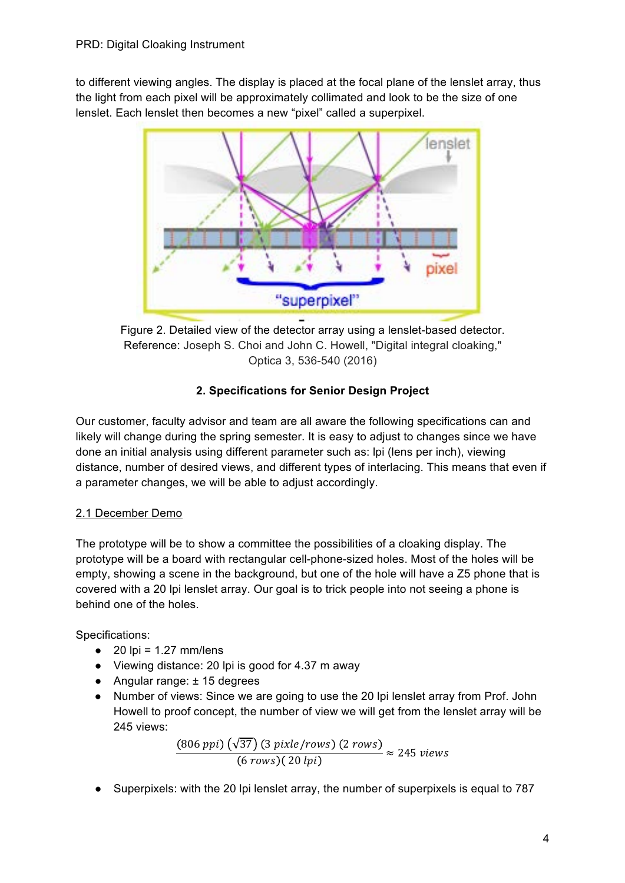to different viewing angles. The display is placed at the focal plane of the lenslet array, thus the light from each pixel will be approximately collimated and look to be the size of one lenslet. Each lenslet then becomes a new "pixel" called a superpixel.



Figure 2. Detailed view of the detector array using a lenslet-based detector. Reference: Joseph S. Choi and John C. Howell, "Digital integral cloaking," Optica 3, 536-540 (2016)

# **2. Specifications for Senior Design Project**

Our customer, faculty advisor and team are all aware the following specifications can and likely will change during the spring semester. It is easy to adjust to changes since we have done an initial analysis using different parameter such as: lpi (lens per inch), viewing distance, number of desired views, and different types of interlacing. This means that even if a parameter changes, we will be able to adjust accordingly.

# 2.1 December Demo

The prototype will be to show a committee the possibilities of a cloaking display. The prototype will be a board with rectangular cell-phone-sized holes. Most of the holes will be empty, showing a scene in the background, but one of the hole will have a Z5 phone that is covered with a 20 lpi lenslet array. Our goal is to trick people into not seeing a phone is behind one of the holes.

Specifications:

- $\bullet$  20 lpi = 1.27 mm/lens
- Viewing distance: 20 lpi is good for 4.37 m away
- Angular range: ± 15 degrees
- Number of views: Since we are going to use the 20 lpi lenslet array from Prof. John Howell to proof concept, the number of view we will get from the lenslet array will be 245 views:

$$
\frac{(806\,ppi)\left(\sqrt{37}\right)\left(3\,pixle/rows\right)\left(2\,rows\right)}{(6\,rows)\left(20\,lpi\right)} \approx 245\,views
$$

● Superpixels: with the 20 lpi lenslet array, the number of superpixels is equal to 787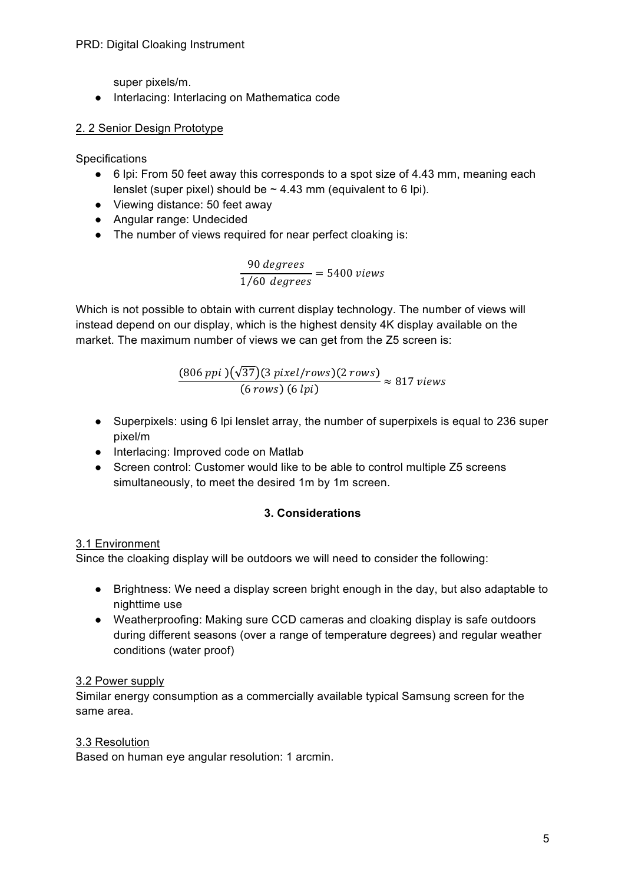#### PRD: Digital Cloaking Instrument

super pixels/m.

● Interlacing: Interlacing on Mathematica code

## 2. 2 Senior Design Prototype

**Specifications** 

- 6 lpi: From 50 feet away this corresponds to a spot size of 4.43 mm, meaning each lenslet (super pixel) should be  $\sim$  4.43 mm (equivalent to 6 lpi).
- Viewing distance: 50 feet away
- Angular range: Undecided
- The number of views required for near perfect cloaking is:

90 degrees  $\frac{1}{1/60} \frac{acg \cdot cce}{deg \cdot ees} = 5400 \text{ views}$ 

Which is not possible to obtain with current display technology. The number of views will instead depend on our display, which is the highest density 4K display available on the market. The maximum number of views we can get from the Z5 screen is:

> $(806\ ppi\ )(\sqrt{37})(3\ pixel/rows)$  (2 rows  $\frac{6}{6}$  rows) (6 lpi)  $\approx 817$  views

- Superpixels: using 6 lpi lenslet array, the number of superpixels is equal to 236 super pixel/m
- Interlacing: Improved code on Matlab
- Screen control: Customer would like to be able to control multiple Z5 screens simultaneously, to meet the desired 1m by 1m screen.

## **3. Considerations**

## 3.1 Environment

Since the cloaking display will be outdoors we will need to consider the following:

- Brightness: We need a display screen bright enough in the day, but also adaptable to nighttime use
- Weatherproofing: Making sure CCD cameras and cloaking display is safe outdoors during different seasons (over a range of temperature degrees) and regular weather conditions (water proof)

# 3.2 Power supply

Similar energy consumption as a commercially available typical Samsung screen for the same area.

## 3.3 Resolution

Based on human eye angular resolution: 1 arcmin.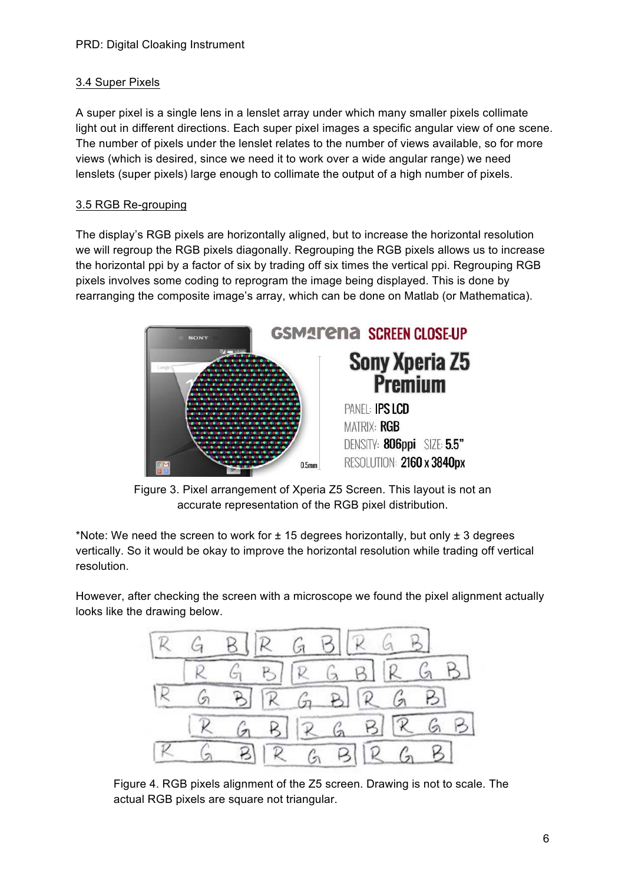# 3.4 Super Pixels

A super pixel is a single lens in a lenslet array under which many smaller pixels collimate light out in different directions. Each super pixel images a specific angular view of one scene. The number of pixels under the lenslet relates to the number of views available, so for more views (which is desired, since we need it to work over a wide angular range) we need lenslets (super pixels) large enough to collimate the output of a high number of pixels.

## 3.5 RGB Re-grouping

The display's RGB pixels are horizontally aligned, but to increase the horizontal resolution we will regroup the RGB pixels diagonally. Regrouping the RGB pixels allows us to increase the horizontal ppi by a factor of six by trading off six times the vertical ppi. Regrouping RGB pixels involves some coding to reprogram the image being displayed. This is done by rearranging the composite image's array, which can be done on Matlab (or Mathematica).



Figure 3. Pixel arrangement of Xperia Z5 Screen. This layout is not an accurate representation of the RGB pixel distribution.

\*Note: We need the screen to work for  $\pm$  15 degrees horizontally, but only  $\pm$  3 degrees vertically. So it would be okay to improve the horizontal resolution while trading off vertical resolution.

However, after checking the screen with a microscope we found the pixel alignment actually looks like the drawing below.



Figure 4. RGB pixels alignment of the Z5 screen. Drawing is not to scale. The actual RGB pixels are square not triangular.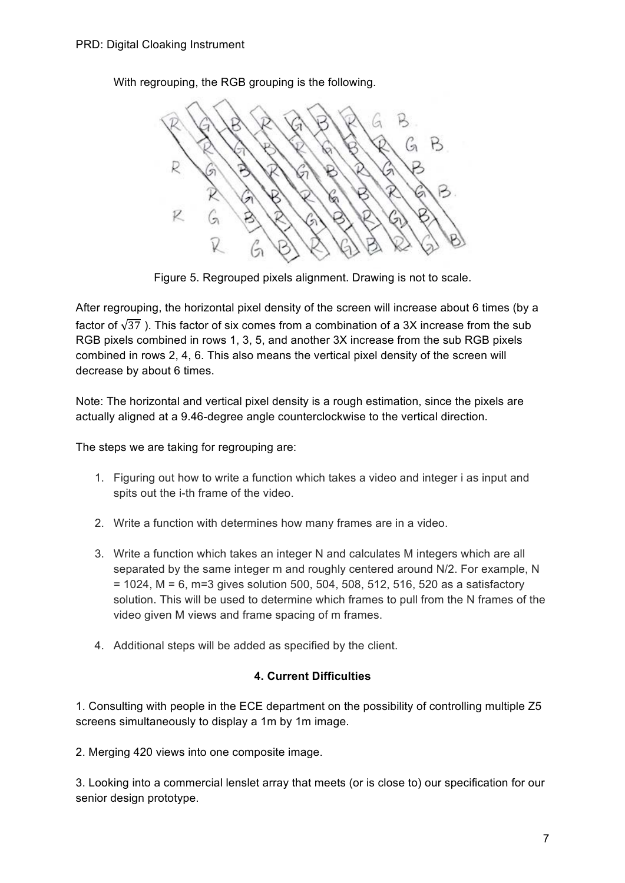With regrouping, the RGB grouping is the following.



Figure 5. Regrouped pixels alignment. Drawing is not to scale.

After regrouping, the horizontal pixel density of the screen will increase about 6 times (by a factor of  $\sqrt{37}$ ). This factor of six comes from a combination of a 3X increase from the sub RGB pixels combined in rows 1, 3, 5, and another 3X increase from the sub RGB pixels combined in rows 2, 4, 6. This also means the vertical pixel density of the screen will decrease by about 6 times.

Note: The horizontal and vertical pixel density is a rough estimation, since the pixels are actually aligned at a 9.46-degree angle counterclockwise to the vertical direction.

The steps we are taking for regrouping are:

- 1. Figuring out how to write a function which takes a video and integer i as input and spits out the i-th frame of the video.
- 2. Write a function with determines how many frames are in a video.
- 3. Write a function which takes an integer N and calculates M integers which are all separated by the same integer m and roughly centered around N/2. For example, N = 1024, M = 6, m=3 gives solution 500, 504, 508, 512, 516, 520 as a satisfactory solution. This will be used to determine which frames to pull from the N frames of the video given M views and frame spacing of m frames.
- 4. Additional steps will be added as specified by the client.

# **4. Current Difficulties**

1. Consulting with people in the ECE department on the possibility of controlling multiple Z5 screens simultaneously to display a 1m by 1m image.

2. Merging 420 views into one composite image.

3. Looking into a commercial lenslet array that meets (or is close to) our specification for our senior design prototype.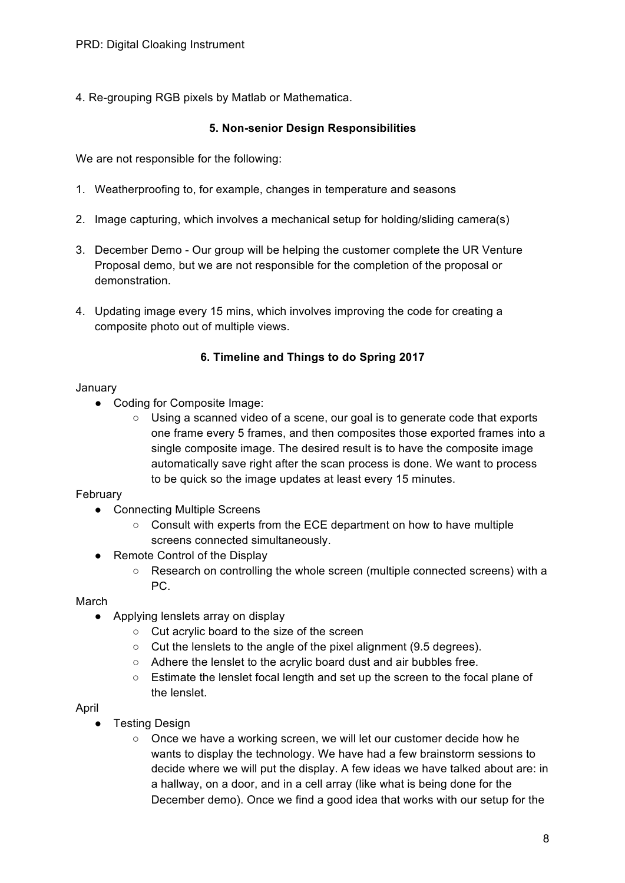4. Re-grouping RGB pixels by Matlab or Mathematica.

#### **5. Non-senior Design Responsibilities**

We are not responsible for the following:

- 1. Weatherproofing to, for example, changes in temperature and seasons
- 2. Image capturing, which involves a mechanical setup for holding/sliding camera(s)
- 3. December Demo Our group will be helping the customer complete the UR Venture Proposal demo, but we are not responsible for the completion of the proposal or demonstration.
- 4. Updating image every 15 mins, which involves improving the code for creating a composite photo out of multiple views.

#### **6. Timeline and Things to do Spring 2017**

#### January

- Coding for Composite Image:
	- Using a scanned video of a scene, our goal is to generate code that exports one frame every 5 frames, and then composites those exported frames into a single composite image. The desired result is to have the composite image automatically save right after the scan process is done. We want to process to be quick so the image updates at least every 15 minutes.

#### February

- Connecting Multiple Screens
	- Consult with experts from the ECE department on how to have multiple screens connected simultaneously.
- Remote Control of the Display
	- Research on controlling the whole screen (multiple connected screens) with a PC.

March

- Applying lenslets array on display
	- Cut acrylic board to the size of the screen
	- Cut the lenslets to the angle of the pixel alignment (9.5 degrees).
	- Adhere the lenslet to the acrylic board dust and air bubbles free.
	- Estimate the lenslet focal length and set up the screen to the focal plane of the lenslet.

#### April

- Testing Design
	- Once we have a working screen, we will let our customer decide how he wants to display the technology. We have had a few brainstorm sessions to decide where we will put the display. A few ideas we have talked about are: in a hallway, on a door, and in a cell array (like what is being done for the December demo). Once we find a good idea that works with our setup for the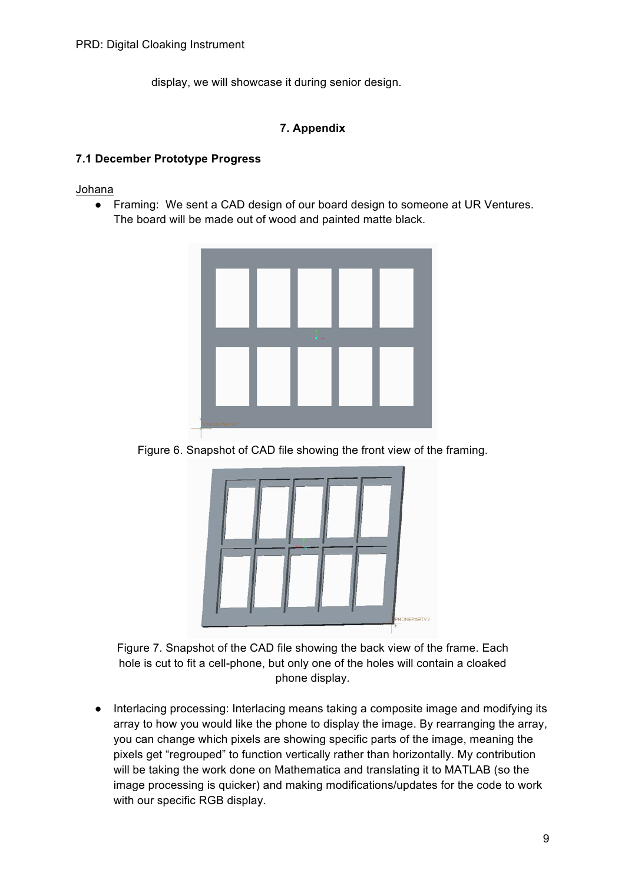display, we will showcase it during senior design.

## **7. Appendix**

#### **7.1 December Prototype Progress**

Johana

● Framing: We sent a CAD design of our board design to someone at UR Ventures. The board will be made out of wood and painted matte black.



Figure 6. Snapshot of CAD file showing the front view of the framing.



Figure 7. Snapshot of the CAD file showing the back view of the frame. Each hole is cut to fit a cell-phone, but only one of the holes will contain a cloaked phone display.

● Interlacing processing: Interlacing means taking a composite image and modifying its array to how you would like the phone to display the image. By rearranging the array, you can change which pixels are showing specific parts of the image, meaning the pixels get "regrouped" to function vertically rather than horizontally. My contribution will be taking the work done on Mathematica and translating it to MATLAB (so the image processing is quicker) and making modifications/updates for the code to work with our specific RGB display.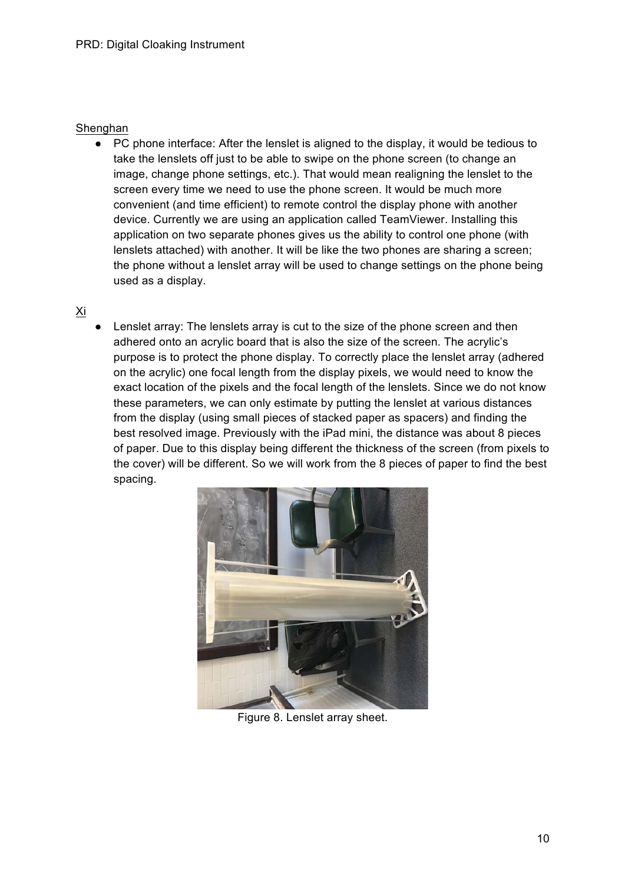#### Shenghan

● PC phone interface: After the lenslet is aligned to the display, it would be tedious to take the lenslets off just to be able to swipe on the phone screen (to change an image, change phone settings, etc.). That would mean realigning the lenslet to the screen every time we need to use the phone screen. It would be much more convenient (and time efficient) to remote control the display phone with another device. Currently we are using an application called TeamViewer. Installing this application on two separate phones gives us the ability to control one phone (with lenslets attached) with another. It will be like the two phones are sharing a screen; the phone without a lenslet array will be used to change settings on the phone being used as a display.

#### Xi

Lenslet array: The lenslets array is cut to the size of the phone screen and then adhered onto an acrylic board that is also the size of the screen. The acrylic's purpose is to protect the phone display. To correctly place the lenslet array (adhered on the acrylic) one focal length from the display pixels, we would need to know the exact location of the pixels and the focal length of the lenslets. Since we do not know these parameters, we can only estimate by putting the lenslet at various distances from the display (using small pieces of stacked paper as spacers) and finding the best resolved image. Previously with the iPad mini, the distance was about 8 pieces of paper. Due to this display being different the thickness of the screen (from pixels to the cover) will be different. So we will work from the 8 pieces of paper to find the best spacing.



Figure 8. Lenslet array sheet.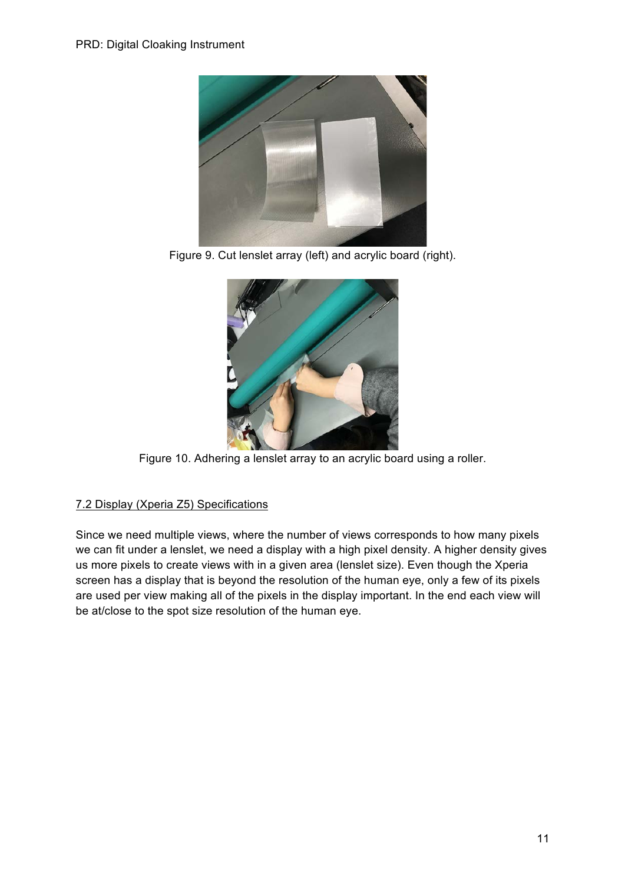

Figure 9. Cut lenslet array (left) and acrylic board (right).



Figure 10. Adhering a lenslet array to an acrylic board using a roller.

# 7.2 Display (Xperia Z5) Specifications

Since we need multiple views, where the number of views corresponds to how many pixels we can fit under a lenslet, we need a display with a high pixel density. A higher density gives us more pixels to create views with in a given area (lenslet size). Even though the Xperia screen has a display that is beyond the resolution of the human eye, only a few of its pixels are used per view making all of the pixels in the display important. In the end each view will be at/close to the spot size resolution of the human eye.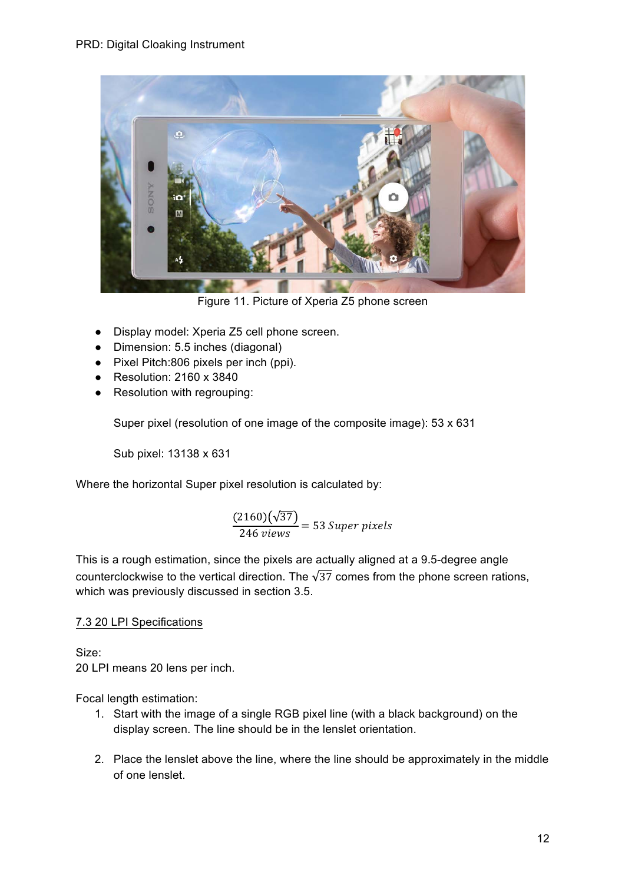

Figure 11. Picture of Xperia Z5 phone screen

- Display model: Xperia Z5 cell phone screen.
- Dimension: 5.5 inches (diagonal)
- Pixel Pitch:806 pixels per inch (ppi).
- $\bullet$  Resolution: 2160 x 3840
- Resolution with regrouping:

Super pixel (resolution of one image of the composite image): 53 x 631

Sub pixel: 13138 x 631

Where the horizontal Super pixel resolution is calculated by:

$$
\frac{(2160)(\sqrt{37})}{246 \text{ views}} = 53 \text{ Super pixels}
$$

This is a rough estimation, since the pixels are actually aligned at a 9.5-degree angle counterclockwise to the vertical direction. The  $\sqrt{37}$  comes from the phone screen rations, which was previously discussed in section 3.5.

## 7.3 20 LPI Specifications

Size: 20 LPI means 20 lens per inch.

Focal length estimation:

- 1. Start with the image of a single RGB pixel line (with a black background) on the display screen. The line should be in the lenslet orientation.
- 2. Place the lenslet above the line, where the line should be approximately in the middle of one lenslet.